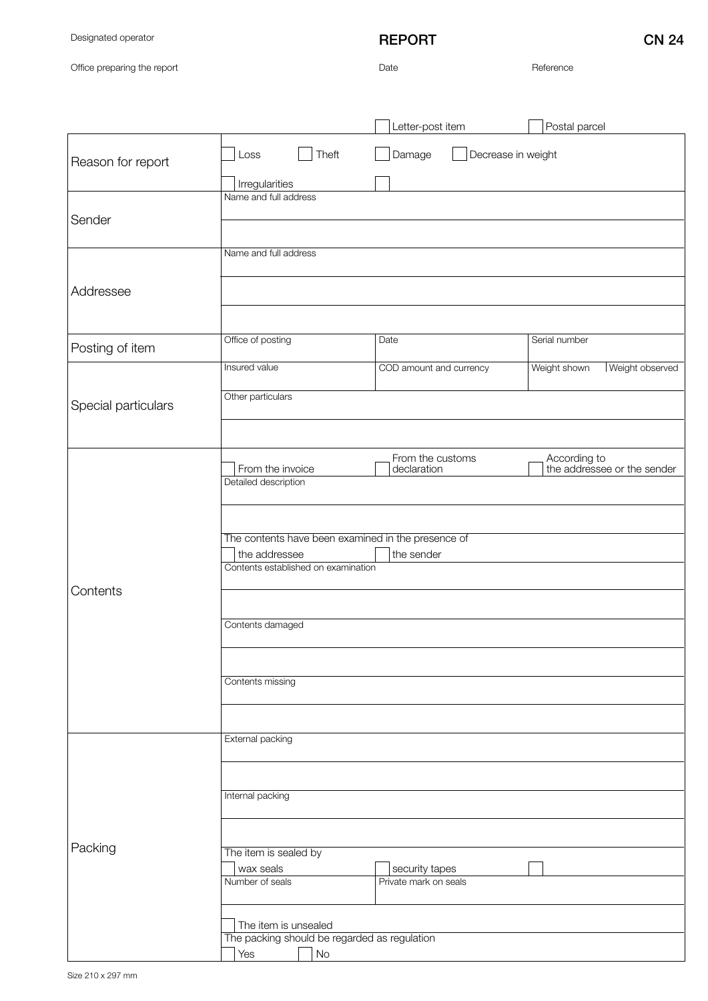Designated operator

## REPORT CN 24

Office preparing the report

Date Reference

|                     |                                                                     | Letter-post item                        | Postal parcel                               |
|---------------------|---------------------------------------------------------------------|-----------------------------------------|---------------------------------------------|
| Reason for report   | Loss<br>Theft                                                       | Decrease in weight<br>Damage            |                                             |
| Sender              | Irregularities<br>Name and full address                             |                                         |                                             |
|                     | Name and full address                                               |                                         |                                             |
| Addressee           |                                                                     |                                         |                                             |
|                     |                                                                     |                                         |                                             |
| Posting of item     | Office of posting                                                   | Date                                    | Serial number                               |
|                     | Insured value                                                       | COD amount and currency                 | Weight observed<br>Weight shown             |
| Special particulars | Other particulars                                                   |                                         |                                             |
|                     |                                                                     |                                         |                                             |
| Contents            | From the invoice<br>Detailed description                            | From the customs<br>declaration         | According to<br>the addressee or the sender |
|                     |                                                                     |                                         |                                             |
|                     | The contents have been examined in the presence of<br>the addressee | the sender                              |                                             |
|                     | Contents established on examination                                 |                                         |                                             |
|                     | Contents damaged                                                    |                                         |                                             |
|                     | Contents missing                                                    |                                         |                                             |
|                     |                                                                     |                                         |                                             |
|                     | External packing                                                    |                                         |                                             |
| Packing             | Internal packing                                                    |                                         |                                             |
|                     |                                                                     |                                         |                                             |
|                     | The item is sealed by                                               |                                         |                                             |
|                     | wax seals<br>Number of seals                                        | security tapes<br>Private mark on seals |                                             |
|                     | The item is unsealed                                                |                                         |                                             |
|                     | The packing should be regarded as regulation<br>No<br>Yes           |                                         |                                             |